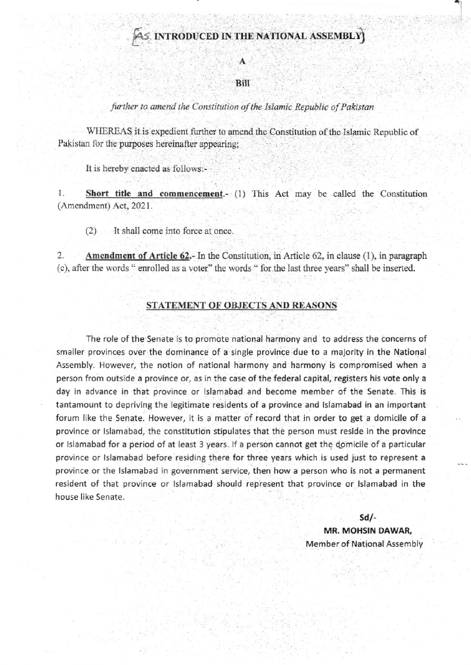## AS INTRODUCED IN THE NATIONAL ASSEMBLY

#### **Bill**

#### further to amend the Constitution of the Islamic Republic of Pakistan

WHEREAS it is expedient further to amend the Constitution of the Islamic Republic of Pakistan for the purposes hereinafter appearing;

It is hereby enacted as follows:-

1. Short title and commencement. (1) This Act may be called the Constitution (Amendment) Act, 2021.

It shall come into force at once.  $(2)$ 

 $2.$ **Amendment of Article 62.-** In the Constitution, in Article 62, in clause  $(1)$ , in paragraph (c), after the words "enrolled as a voter" the words " for the last three years" shall be inserted.

### STATEMENT OF OBJECTS AND REASONS

The role of the Senate is to promote national harmony and to address the concerns of smaller provinces over the dominance of a single province due to a majority in the National Assembly. However, the notion of national harmony and harmony is compromised when a person from outside a province or, as in the case of the federal capital, registers his vote only a day in advance in that province or Islamabad and become member of the Senate. This is tantamount to depriving the legitimate residents of a province and Islamabad in an important forum like the Senate. However, it is a matter of record that in order to get a domicile of a province or Islamabad, the constitution stipulates that the person must reside in the province or Islamabad for a period of at least 3 years. If a person cannot get the domicile of a particular province or Islamabad before residing there for three years which is used just to represent a province or the Islamabad in government service, then how a person who is not a permanent resident of that province or Islamabad should represent that province or Islamabad in the house like Senate.

> $Sd/-$ MR. MOHSIN DAWAR, **Member of National Assembly**